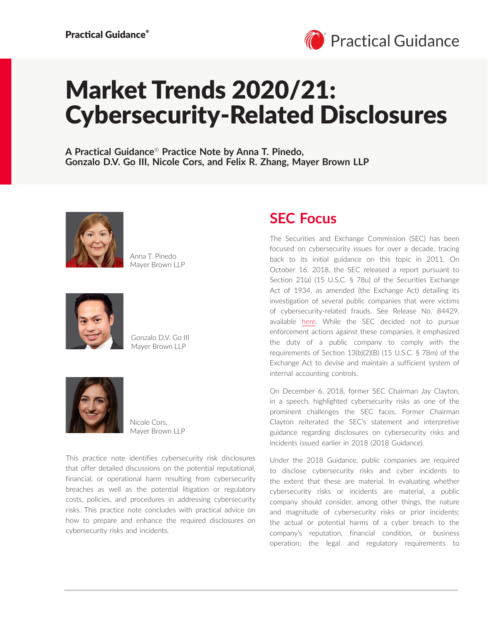

# Market Trends 2020/21: Cybersecurity-Related Disclosures

**A Practical Guidance**® **Practice Note by Anna T. Pinedo, Gonzalo D.V. Go III, Nicole Cors, and Felix R. Zhang, Mayer Brown LLP**



Anna T. Pinedo Mayer Brown LLP



Gonzalo D.V. Go III Mayer Brown LLP



Nicole Cors, Mayer Brown LLP

This practice note identifies cybersecurity risk disclosures that offer detailed discussions on the potential reputational, financial, or operational harm resulting from cybersecurity breaches as well as the potential litigation or regulatory costs, policies, and procedures in addressing cybersecurity risks. This practice note concludes with practical advice on how to prepare and enhance the required disclosures on cybersecurity risks and incidents.

# **SEC Focus**

The Securities and Exchange Commission (SEC) has been focused on cybersecurity issues for over a decade, tracing back to its initial guidance on this topic in 2011. On October 16, 2018, the SEC released a report pursuant to Section 21(a) (15 U.S.C. § 78u) of the Securities Exchange Act of 1934, as amended (the Exchange Act) detailing its investigation of several public companies that were victims of cybersecurity-related frauds. See Release No. 84429, available [here.](https://www.sec.gov/litigation/investreport/34-84429.pdf) While the SEC decided not to pursue enforcement actions against these companies, it emphasized the duty of a public company to comply with the requirements of Section 13(b)(2)(B) (15 U.S.C. § 78m) of the Exchange Act to devise and maintain a sufficient system of internal accounting controls.

On December 6, 2018, former SEC Chairman Jay Clayton, in a speech, highlighted cybersecurity risks as one of the prominent challenges the SEC faces. Former Chairman Clayton reiterated the SEC's statement and interpretive guidance regarding disclosures on cybersecurity risks and incidents issued earlier in 2018 (2018 Guidance).

Under the 2018 Guidance, public companies are required to disclose cybersecurity risks and cyber incidents to the extent that these are material. In evaluating whether cybersecurity risks or incidents are material, a public company should consider, among other things, the nature and magnitude of cybersecurity risks or prior incidents; the actual or potential harms of a cyber breach to the company's reputation, financial condition, or business operation; the legal and regulatory requirements to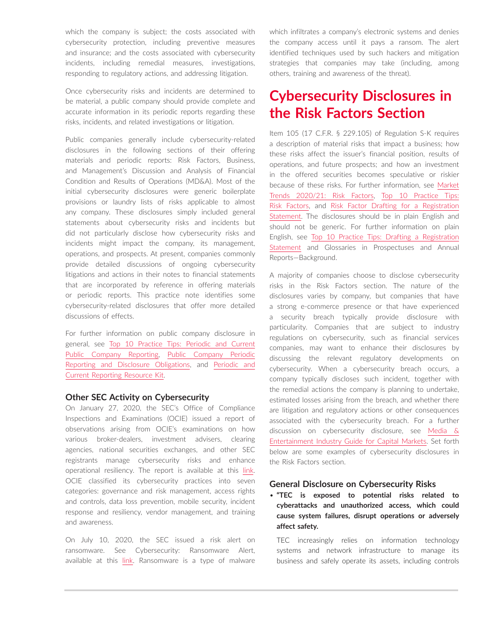which the company is subject; the costs associated with cybersecurity protection, including preventive measures and insurance; and the costs associated with cybersecurity incidents, including remedial measures, investigations, responding to regulatory actions, and addressing litigation.

Once cybersecurity risks and incidents are determined to be material, a public company should provide complete and accurate information in its periodic reports regarding these risks, incidents, and related investigations or litigation.

Public companies generally include cybersecurity-related disclosures in the following sections of their offering materials and periodic reports: Risk Factors, Business, and Management's Discussion and Analysis of Financial Condition and Results of Operations (MD&A). Most of the initial cybersecurity disclosures were generic boilerplate provisions or laundry lists of risks applicable to almost any company. These disclosures simply included general statements about cybersecurity risks and incidents but did not particularly disclose how cybersecurity risks and incidents might impact the company, its management, operations, and prospects. At present, companies commonly provide detailed discussions of ongoing cybersecurity litigations and actions in their notes to financial statements that are incorporated by reference in offering materials or periodic reports. This practice note identifies some cybersecurity-related disclosures that offer more detailed discussions of effects.

For further information on public company disclosure in general, see [Top 10 Practice Tips: Periodic and Current](https://advance.lexis.com/open/document/lpadocument/?pdmfid=1000522&pddocfullpath=%2Fshared%2Fdocument%2Fanalytical-materials%2Furn%3AcontentItem%3A5PRW-C611-FJTD-G46X-00000-00&pdcontentcomponentid=500749&pdteaserkey=sr0&pditab=allpods&ecomp=ptrg&earg=sr0) [Public Company Reporting,](https://advance.lexis.com/open/document/lpadocument/?pdmfid=1000522&pddocfullpath=%2Fshared%2Fdocument%2Fanalytical-materials%2Furn%3AcontentItem%3A5PRW-C611-FJTD-G46X-00000-00&pdcontentcomponentid=500749&pdteaserkey=sr0&pditab=allpods&ecomp=ptrg&earg=sr0) [Public Company Periodic](https://advance.lexis.com/open/document/lpadocument/?pdmfid=1000522&pddocfullpath=%2Fshared%2Fdocument%2Fanalytical-materials%2Furn%3AcontentItem%3A5PM7-NB31-JJ1H-X1MB-00000-00&pdcontentcomponentid=500749&pdteaserkey=sr0&pditab=allpods&ecomp=ptrg&earg=sr0) [Reporting and Disclosure Obligations](https://advance.lexis.com/open/document/lpadocument/?pdmfid=1000522&pddocfullpath=%2Fshared%2Fdocument%2Fanalytical-materials%2Furn%3AcontentItem%3A5PM7-NB31-JJ1H-X1MB-00000-00&pdcontentcomponentid=500749&pdteaserkey=sr0&pditab=allpods&ecomp=ptrg&earg=sr0), and [Periodic and](https://advance.lexis.com/open/document/lpadocument/?pdmfid=1000522&pddocfullpath=%2Fshared%2Fdocument%2Fanalytical-materials%2Furn%3AcontentItem%3A5MM6-CB71-K054-G29W-00000-00&pdcontentcomponentid=500749&pdteaserkey=sr0&pditab=allpods&ecomp=ptrg&earg=sr0) [Current Reporting Resource Kit](https://advance.lexis.com/open/document/lpadocument/?pdmfid=1000522&pddocfullpath=%2Fshared%2Fdocument%2Fanalytical-materials%2Furn%3AcontentItem%3A5MM6-CB71-K054-G29W-00000-00&pdcontentcomponentid=500749&pdteaserkey=sr0&pditab=allpods&ecomp=ptrg&earg=sr0).

#### **Other SEC Activity on Cybersecurity**

On January 27, 2020, the SEC's Office of Compliance Inspections and Examinations (OCIE) issued a report of observations arising from OCIE's examinations on how various broker-dealers, investment advisers, clearing agencies, national securities exchanges, and other SEC registrants manage cybersecurity risks and enhance operational resiliency. The report is available at this [link](https://www.sec.gov/files/OCIE%20Cybersecurity%20and%20Resiliency%20Observations.pdf). OCIE classified its cybersecurity practices into seven categories: governance and risk management, access rights and controls, data loss prevention, mobile security, incident response and resiliency, vendor management, and training and awareness.

On July 10, 2020, the SEC issued a risk alert on ransomware. See Cybersecurity: Ransomware Alert, available at this [link.](https://www.sec.gov/files/Risk%20Alert%20-%20Ransomware.pdf) Ransomware is a type of malware which infiltrates a company's electronic systems and denies the company access until it pays a ransom. The alert identified techniques used by such hackers and mitigation strategies that companies may take (including, among others, training and awareness of the threat).

# **Cybersecurity Disclosures in the Risk Factors Section**

Item 105 (17 C.F.R. § 229.105) of Regulation S-K requires a description of material risks that impact a business; how these risks affect the issuer's financial position, results of operations, and future prospects; and how an investment in the offered securities becomes speculative or riskier because of these risks. For further information, see [Market](https://advance.lexis.com/open/document/lpadocument/?pdmfid=1000522&pddocfullpath=%2Fshared%2Fdocument%2Fanalytical-materials%2Furn%3AcontentItem%3A620B-BV21-JJK6-S19P-00000-00&pdcontentcomponentid=500749&pdteaserkey=sr0&pditab=allpods&ecomp=ptrg&earg=sr0) [Trends 2020/21: Risk Factors,](https://advance.lexis.com/open/document/lpadocument/?pdmfid=1000522&pddocfullpath=%2Fshared%2Fdocument%2Fanalytical-materials%2Furn%3AcontentItem%3A620B-BV21-JJK6-S19P-00000-00&pdcontentcomponentid=500749&pdteaserkey=sr0&pditab=allpods&ecomp=ptrg&earg=sr0) [Top 10 Practice Tips:](https://advance.lexis.com/open/document/lpadocument/?pdmfid=1000522&pddocfullpath=%2Fshared%2Fdocument%2Fanalytical-materials%2Furn%3AcontentItem%3A5PM7-NB31-JJ1H-X1M8-00000-00&pdcontentcomponentid=500749&pdteaserkey=sr0&pditab=allpods&ecomp=ptrg&earg=sr0) [Risk Factors](https://advance.lexis.com/open/document/lpadocument/?pdmfid=1000522&pddocfullpath=%2Fshared%2Fdocument%2Fanalytical-materials%2Furn%3AcontentItem%3A5PM7-NB31-JJ1H-X1M8-00000-00&pdcontentcomponentid=500749&pdteaserkey=sr0&pditab=allpods&ecomp=ptrg&earg=sr0), and [Risk Factor Drafting for a Registration](https://advance.lexis.com/open/document/lpadocument/?pdmfid=1000522&pddocfullpath=%2Fshared%2Fdocument%2Fanalytical-materials%2Furn%3AcontentItem%3A5995-G7W1-JWJ0-G48G-00000-00&pdcontentcomponentid=500749&pdteaserkey=sr0&pditab=allpods&ecomp=ptrg&earg=sr0) [Statement.](https://advance.lexis.com/open/document/lpadocument/?pdmfid=1000522&pddocfullpath=%2Fshared%2Fdocument%2Fanalytical-materials%2Furn%3AcontentItem%3A5995-G7W1-JWJ0-G48G-00000-00&pdcontentcomponentid=500749&pdteaserkey=sr0&pditab=allpods&ecomp=ptrg&earg=sr0) The disclosures should be in plain English and should not be generic. For further information on plain English, see [Top 10 Practice Tips: Drafting a Registration](https://advance.lexis.com/open/document/lpadocument/?pdmfid=1000522&pddocfullpath=%2Fshared%2Fdocument%2Fanalytical-materials%2Furn%3AcontentItem%3A5R59-GV61-F1WF-M2Y3-00000-00&pdcontentcomponentid=500749&pdteaserkey=sr0&pditab=allpods&ecomp=ptrg&earg=sr0) [Statement](https://advance.lexis.com/open/document/lpadocument/?pdmfid=1000522&pddocfullpath=%2Fshared%2Fdocument%2Fanalytical-materials%2Furn%3AcontentItem%3A5R59-GV61-F1WF-M2Y3-00000-00&pdcontentcomponentid=500749&pdteaserkey=sr0&pditab=allpods&ecomp=ptrg&earg=sr0) and Glossaries in Prospectuses and Annual Reports—Background.

A majority of companies choose to disclose cybersecurity risks in the Risk Factors section. The nature of the disclosures varies by company, but companies that have a strong e-commerce presence or that have experienced a security breach typically provide disclosure with particularity. Companies that are subject to industry regulations on cybersecurity, such as financial services companies, may want to enhance their disclosures by discussing the relevant regulatory developments on cybersecurity. When a cybersecurity breach occurs, a company typically discloses such incident, together with the remedial actions the company is planning to undertake, estimated losses arising from the breach, and whether there are litigation and regulatory actions or other consequences associated with the cybersecurity breach. For a further discussion on cybersecurity disclosure, see [Media &](https://advance.lexis.com/open/document/lpadocument/?pdmfid=1000522&pddocfullpath=%2Fshared%2Fdocument%2Fanalytical-materials%2Furn%3AcontentItem%3A5NT7-H231-JF1Y-B2TN-00000-00&pdcontentcomponentid=500749&pdteaserkey=sr0&pditab=allpods&ecomp=ptrg&earg=sr0) [Entertainment Industry Guide for Capital Markets](https://advance.lexis.com/open/document/lpadocument/?pdmfid=1000522&pddocfullpath=%2Fshared%2Fdocument%2Fanalytical-materials%2Furn%3AcontentItem%3A5NT7-H231-JF1Y-B2TN-00000-00&pdcontentcomponentid=500749&pdteaserkey=sr0&pditab=allpods&ecomp=ptrg&earg=sr0). Set forth below are some examples of cybersecurity disclosures in the Risk Factors section.

#### **General Disclosure on Cybersecurity Risks**

• **"TEC is exposed to potential risks related to cyberattacks and unauthorized access, which could cause system failures, disrupt operations or adversely affect safety.**

TEC increasingly relies on information technology systems and network infrastructure to manage its business and safely operate its assets, including controls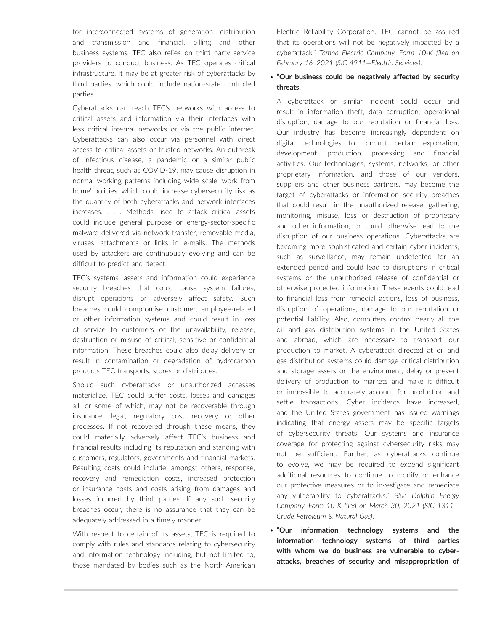for interconnected systems of generation, distribution and transmission and financial, billing and other business systems. TEC also relies on third party service providers to conduct business. As TEC operates critical infrastructure, it may be at greater risk of cyberattacks by third parties, which could include nation-state controlled parties.

Cyberattacks can reach TEC's networks with access to critical assets and information via their interfaces with less critical internal networks or via the public internet. Cyberattacks can also occur via personnel with direct access to critical assets or trusted networks. An outbreak of infectious disease, a pandemic or a similar public health threat, such as COVID-19, may cause disruption in normal working patterns including wide scale 'work from home' policies, which could increase cybersecurity risk as the quantity of both cyberattacks and network interfaces increases. . . . Methods used to attack critical assets could include general purpose or energy-sector-specific malware delivered via network transfer, removable media, viruses, attachments or links in e-mails. The methods used by attackers are continuously evolving and can be difficult to predict and detect.

TEC's systems, assets and information could experience security breaches that could cause system failures, disrupt operations or adversely affect safety. Such breaches could compromise customer, employee-related or other information systems and could result in loss of service to customers or the unavailability, release, destruction or misuse of critical, sensitive or confidential information. These breaches could also delay delivery or result in contamination or degradation of hydrocarbon products TEC transports, stores or distributes.

Should such cyberattacks or unauthorized accesses materialize, TEC could suffer costs, losses and damages all, or some of which, may not be recoverable through insurance, legal, regulatory cost recovery or other processes. If not recovered through these means, they could materially adversely affect TEC's business and financial results including its reputation and standing with customers, regulators, governments and financial markets. Resulting costs could include, amongst others, response, recovery and remediation costs, increased protection or insurance costs and costs arising from damages and losses incurred by third parties. If any such security breaches occur, there is no assurance that they can be adequately addressed in a timely manner.

With respect to certain of its assets, TEC is required to comply with rules and standards relating to cybersecurity and information technology including, but not limited to, those mandated by bodies such as the North American Electric Reliability Corporation. TEC cannot be assured that its operations will not be negatively impacted by a cyberattack." *Tampa Electric Company, Form 10-K filed on February 16, 2021 (SIC 4911—Electric Services)*.

#### • **"Our business could be negatively affected by security threats.**

A cyberattack or similar incident could occur and result in information theft, data corruption, operational disruption, damage to our reputation or financial loss. Our industry has become increasingly dependent on digital technologies to conduct certain exploration, development, production, processing and financial activities. Our technologies, systems, networks, or other proprietary information, and those of our vendors, suppliers and other business partners, may become the target of cyberattacks or information security breaches that could result in the unauthorized release, gathering, monitoring, misuse, loss or destruction of proprietary and other information, or could otherwise lead to the disruption of our business operations. Cyberattacks are becoming more sophisticated and certain cyber incidents, such as surveillance, may remain undetected for an extended period and could lead to disruptions in critical systems or the unauthorized release of confidential or otherwise protected information. These events could lead to financial loss from remedial actions, loss of business, disruption of operations, damage to our reputation or potential liability. Also, computers control nearly all the oil and gas distribution systems in the United States and abroad, which are necessary to transport our production to market. A cyberattack directed at oil and gas distribution systems could damage critical distribution and storage assets or the environment, delay or prevent delivery of production to markets and make it difficult or impossible to accurately account for production and settle transactions. Cyber incidents have increased, and the United States government has issued warnings indicating that energy assets may be specific targets of cybersecurity threats. Our systems and insurance coverage for protecting against cybersecurity risks may not be sufficient. Further, as cyberattacks continue to evolve, we may be required to expend significant additional resources to continue to modify or enhance our protective measures or to investigate and remediate any vulnerability to cyberattacks." *Blue Dolphin Energy Company, Form 10-K filed on March 30, 2021 (SIC 1311— Crude Petroleum & Natural Gas)*.

• **"Our information technology systems and the information technology systems of third parties with whom we do business are vulnerable to cyberattacks, breaches of security and misappropriation of**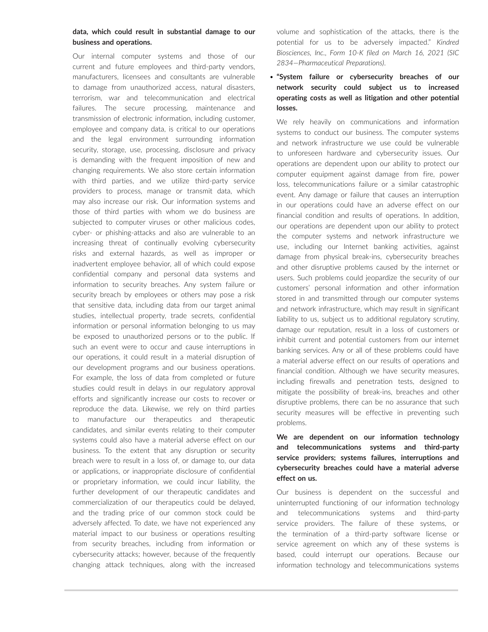#### **data, which could result in substantial damage to our business and operations.**

Our internal computer systems and those of our current and future employees and third-party vendors, manufacturers, licensees and consultants are vulnerable to damage from unauthorized access, natural disasters, terrorism, war and telecommunication and electrical failures. The secure processing, maintenance and transmission of electronic information, including customer, employee and company data, is critical to our operations and the legal environment surrounding information security, storage, use, processing, disclosure and privacy is demanding with the frequent imposition of new and changing requirements. We also store certain information with third parties, and we utilize third-party service providers to process, manage or transmit data, which may also increase our risk. Our information systems and those of third parties with whom we do business are subjected to computer viruses or other malicious codes, cyber- or phishing-attacks and also are vulnerable to an increasing threat of continually evolving cybersecurity risks and external hazards, as well as improper or inadvertent employee behavior, all of which could expose confidential company and personal data systems and information to security breaches. Any system failure or security breach by employees or others may pose a risk that sensitive data, including data from our target animal studies, intellectual property, trade secrets, confidential information or personal information belonging to us may be exposed to unauthorized persons or to the public. If such an event were to occur and cause interruptions in our operations, it could result in a material disruption of our development programs and our business operations. For example, the loss of data from completed or future studies could result in delays in our regulatory approval efforts and significantly increase our costs to recover or reproduce the data. Likewise, we rely on third parties to manufacture our therapeutics and therapeutic candidates, and similar events relating to their computer systems could also have a material adverse effect on our business. To the extent that any disruption or security breach were to result in a loss of, or damage to, our data or applications, or inappropriate disclosure of confidential or proprietary information, we could incur liability, the further development of our therapeutic candidates and commercialization of our therapeutics could be delayed, and the trading price of our common stock could be adversely affected. To date, we have not experienced any material impact to our business or operations resulting from security breaches, including from information or cybersecurity attacks; however, because of the frequently changing attack techniques, along with the increased volume and sophistication of the attacks, there is the potential for us to be adversely impacted." *Kindred Biosciences, Inc., Form 10-K filed on March 16, 2021 (SIC 2834—Pharmaceutical Preparations)*.

### • **"System failure or cybersecurity breaches of our network security could subject us to increased operating costs as well as litigation and other potential losses.**

We rely heavily on communications and information systems to conduct our business. The computer systems and network infrastructure we use could be vulnerable to unforeseen hardware and cybersecurity issues. Our operations are dependent upon our ability to protect our computer equipment against damage from fire, power loss, telecommunications failure or a similar catastrophic event. Any damage or failure that causes an interruption in our operations could have an adverse effect on our financial condition and results of operations. In addition, our operations are dependent upon our ability to protect the computer systems and network infrastructure we use, including our Internet banking activities, against damage from physical break-ins, cybersecurity breaches and other disruptive problems caused by the internet or users. Such problems could jeopardize the security of our customers' personal information and other information stored in and transmitted through our computer systems and network infrastructure, which may result in significant liability to us, subject us to additional regulatory scrutiny, damage our reputation, result in a loss of customers or inhibit current and potential customers from our internet banking services. Any or all of these problems could have a material adverse effect on our results of operations and financial condition. Although we have security measures, including firewalls and penetration tests, designed to mitigate the possibility of break-ins, breaches and other disruptive problems, there can be no assurance that such security measures will be effective in preventing such problems.

### **We are dependent on our information technology and telecommunications systems and third-party service providers; systems failures, interruptions and cybersecurity breaches could have a material adverse effect on us.**

Our business is dependent on the successful and uninterrupted functioning of our information technology and telecommunications systems and third-party service providers. The failure of these systems, or the termination of a third-party software license or service agreement on which any of these systems is based, could interrupt our operations. Because our information technology and telecommunications systems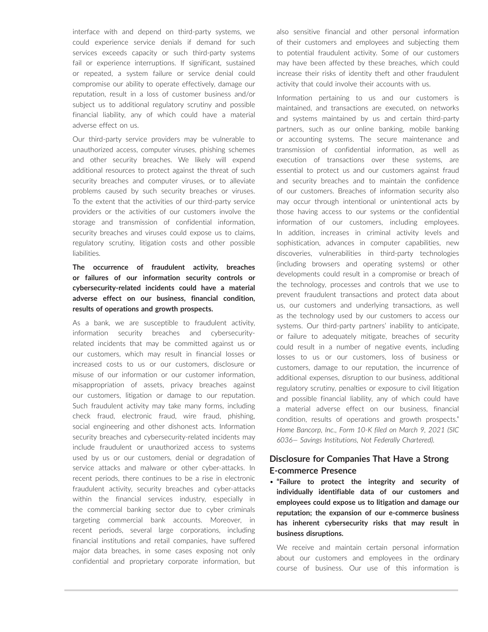interface with and depend on third-party systems, we could experience service denials if demand for such services exceeds capacity or such third-party systems fail or experience interruptions. If significant, sustained or repeated, a system failure or service denial could compromise our ability to operate effectively, damage our reputation, result in a loss of customer business and/or subject us to additional regulatory scrutiny and possible financial liability, any of which could have a material adverse effect on us.

Our third-party service providers may be vulnerable to unauthorized access, computer viruses, phishing schemes and other security breaches. We likely will expend additional resources to protect against the threat of such security breaches and computer viruses, or to alleviate problems caused by such security breaches or viruses. To the extent that the activities of our third-party service providers or the activities of our customers involve the storage and transmission of confidential information, security breaches and viruses could expose us to claims, regulatory scrutiny, litigation costs and other possible liabilities.

### **The occurrence of fraudulent activity, breaches or failures of our information security controls or cybersecurity-related incidents could have a material adverse effect on our business, financial condition, results of operations and growth prospects.**

As a bank, we are susceptible to fraudulent activity, information security breaches and cybersecurityrelated incidents that may be committed against us or our customers, which may result in financial losses or increased costs to us or our customers, disclosure or misuse of our information or our customer information, misappropriation of assets, privacy breaches against our customers, litigation or damage to our reputation. Such fraudulent activity may take many forms, including check fraud, electronic fraud, wire fraud, phishing, social engineering and other dishonest acts. Information security breaches and cybersecurity-related incidents may include fraudulent or unauthorized access to systems used by us or our customers, denial or degradation of service attacks and malware or other cyber-attacks. In recent periods, there continues to be a rise in electronic fraudulent activity, security breaches and cyber-attacks within the financial services industry, especially in the commercial banking sector due to cyber criminals targeting commercial bank accounts. Moreover, in recent periods, several large corporations, including financial institutions and retail companies, have suffered major data breaches, in some cases exposing not only confidential and proprietary corporate information, but

also sensitive financial and other personal information of their customers and employees and subjecting them to potential fraudulent activity. Some of our customers may have been affected by these breaches, which could increase their risks of identity theft and other fraudulent activity that could involve their accounts with us.

Information pertaining to us and our customers is maintained, and transactions are executed, on networks and systems maintained by us and certain third-party partners, such as our online banking, mobile banking or accounting systems. The secure maintenance and transmission of confidential information, as well as execution of transactions over these systems, are essential to protect us and our customers against fraud and security breaches and to maintain the confidence of our customers. Breaches of information security also may occur through intentional or unintentional acts by those having access to our systems or the confidential information of our customers, including employees. In addition, increases in criminal activity levels and sophistication, advances in computer capabilities, new discoveries, vulnerabilities in third-party technologies (including browsers and operating systems) or other developments could result in a compromise or breach of the technology, processes and controls that we use to prevent fraudulent transactions and protect data about us, our customers and underlying transactions, as well as the technology used by our customers to access our systems. Our third-party partners' inability to anticipate, or failure to adequately mitigate, breaches of security could result in a number of negative events, including losses to us or our customers, loss of business or customers, damage to our reputation, the incurrence of additional expenses, disruption to our business, additional regulatory scrutiny, penalties or exposure to civil litigation and possible financial liability, any of which could have a material adverse effect on our business, financial condition, results of operations and growth prospects." *Home Bancorp, Inc., Form 10-K filed on March 9, 2021 (SIC 6036— Savings Institutions, Not Federally Chartered).*

# **Disclosure for Companies That Have a Strong E-commerce Presence**

• **"Failure to protect the integrity and security of individually identifiable data of our customers and employees could expose us to litigation and damage our reputation; the expansion of our e-commerce business has inherent cybersecurity risks that may result in business disruptions.**

We receive and maintain certain personal information about our customers and employees in the ordinary course of business. Our use of this information is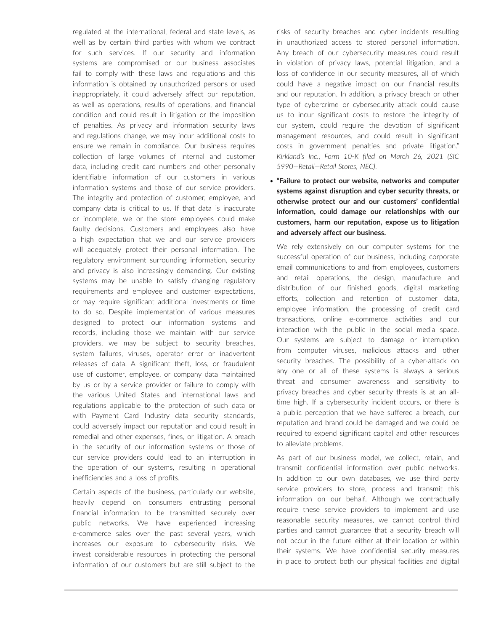regulated at the international, federal and state levels, as well as by certain third parties with whom we contract for such services. If our security and information systems are compromised or our business associates fail to comply with these laws and regulations and this information is obtained by unauthorized persons or used inappropriately, it could adversely affect our reputation, as well as operations, results of operations, and financial condition and could result in litigation or the imposition of penalties. As privacy and information security laws and regulations change, we may incur additional costs to ensure we remain in compliance. Our business requires collection of large volumes of internal and customer data, including credit card numbers and other personally identifiable information of our customers in various information systems and those of our service providers. The integrity and protection of customer, employee, and company data is critical to us. If that data is inaccurate or incomplete, we or the store employees could make faulty decisions. Customers and employees also have a high expectation that we and our service providers will adequately protect their personal information. The regulatory environment surrounding information, security and privacy is also increasingly demanding. Our existing systems may be unable to satisfy changing regulatory requirements and employee and customer expectations, or may require significant additional investments or time to do so. Despite implementation of various measures designed to protect our information systems and records, including those we maintain with our service providers, we may be subject to security breaches, system failures, viruses, operator error or inadvertent releases of data. A significant theft, loss, or fraudulent use of customer, employee, or company data maintained by us or by a service provider or failure to comply with the various United States and international laws and regulations applicable to the protection of such data or with Payment Card Industry data security standards, could adversely impact our reputation and could result in remedial and other expenses, fines, or litigation. A breach in the security of our information systems or those of our service providers could lead to an interruption in the operation of our systems, resulting in operational inefficiencies and a loss of profits.

Certain aspects of the business, particularly our website, heavily depend on consumers entrusting personal financial information to be transmitted securely over public networks. We have experienced increasing e-commerce sales over the past several years, which increases our exposure to cybersecurity risks. We invest considerable resources in protecting the personal information of our customers but are still subject to the risks of security breaches and cyber incidents resulting in unauthorized access to stored personal information. Any breach of our cybersecurity measures could result in violation of privacy laws, potential litigation, and a loss of confidence in our security measures, all of which could have a negative impact on our financial results and our reputation. In addition, a privacy breach or other type of cybercrime or cybersecurity attack could cause us to incur significant costs to restore the integrity of our system, could require the devotion of significant management resources, and could result in significant costs in government penalties and private litigation." *Kirkland's Inc., Form 10-K filed on March 26, 2021 (SIC 5990—Retail—Retail Stores, NEC)*.

• **"Failure to protect our website, networks and computer systems against disruption and cyber security threats, or otherwise protect our and our customers' confidential information, could damage our relationships with our customers, harm our reputation, expose us to litigation and adversely affect our business.**

We rely extensively on our computer systems for the successful operation of our business, including corporate email communications to and from employees, customers and retail operations, the design, manufacture and distribution of our finished goods, digital marketing efforts, collection and retention of customer data, employee information, the processing of credit card transactions, online e-commerce activities and our interaction with the public in the social media space. Our systems are subject to damage or interruption from computer viruses, malicious attacks and other security breaches. The possibility of a cyber-attack on any one or all of these systems is always a serious threat and consumer awareness and sensitivity to privacy breaches and cyber security threats is at an alltime high. If a cybersecurity incident occurs, or there is a public perception that we have suffered a breach, our reputation and brand could be damaged and we could be required to expend significant capital and other resources to alleviate problems.

As part of our business model, we collect, retain, and transmit confidential information over public networks. In addition to our own databases, we use third party service providers to store, process and transmit this information on our behalf. Although we contractually require these service providers to implement and use reasonable security measures, we cannot control third parties and cannot guarantee that a security breach will not occur in the future either at their location or within their systems. We have confidential security measures in place to protect both our physical facilities and digital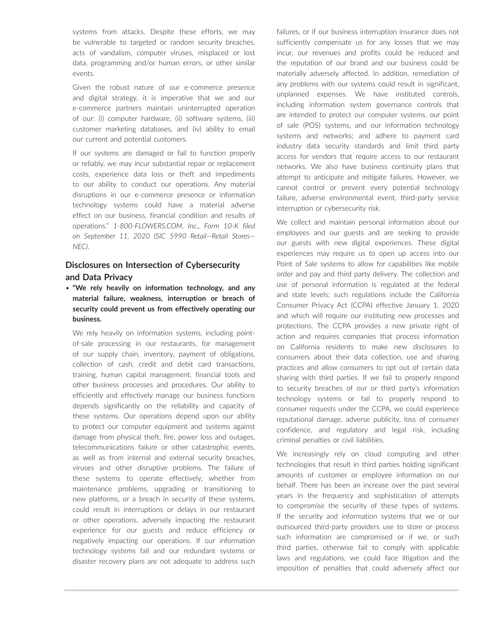systems from attacks. Despite these efforts, we may be vulnerable to targeted or random security breaches, acts of vandalism, computer viruses, misplaced or lost data, programming and/or human errors, or other similar events.

Given the robust nature of our e-commerce presence and digital strategy, it is imperative that we and our e-commerce partners maintain uninterrupted operation of our: (i) computer hardware, (ii) software systems, (iii) customer marketing databases, and (iv) ability to email our current and potential customers.

If our systems are damaged or fail to function properly or reliably, we may incur substantial repair or replacement costs, experience data loss or theft and impediments to our ability to conduct our operations. Any material disruptions in our e-commerce presence or information technology systems could have a material adverse effect on our business, financial condition and results of operations." *1-800-FLOWERS.COM, Inc., Form 10-K filed on September 11, 2020 (SIC 5990 Retail—Retail Stores— NEC)*.

# **Disclosures on Intersection of Cybersecurity and Data Privacy**

• **"We rely heavily on information technology, and any material failure, weakness, interruption or breach of security could prevent us from effectively operating our business.**

We rely heavily on information systems, including pointof-sale processing in our restaurants, for management of our supply chain, inventory, payment of obligations, collection of cash, credit and debit card transactions, training, human capital management, financial tools and other business processes and procedures. Our ability to efficiently and effectively manage our business functions depends significantly on the reliability and capacity of these systems. Our operations depend upon our ability to protect our computer equipment and systems against damage from physical theft, fire, power loss and outages, telecommunications failure or other catastrophic events, as well as from internal and external security breaches, viruses and other disruptive problems. The failure of these systems to operate effectively, whether from maintenance problems, upgrading or transitioning to new platforms, or a breach in security of these systems, could result in interruptions or delays in our restaurant or other operations, adversely impacting the restaurant experience for our guests and reduce efficiency or negatively impacting our operations. If our information technology systems fail and our redundant systems or disaster recovery plans are not adequate to address such

failures, or if our business interruption insurance does not sufficiently compensate us for any losses that we may incur, our revenues and profits could be reduced and the reputation of our brand and our business could be materially adversely affected. In addition, remediation of any problems with our systems could result in significant, unplanned expenses. We have instituted controls, including information system governance controls that are intended to protect our computer systems, our point of sale (POS) systems, and our information technology systems and networks; and adhere to payment card industry data security standards and limit third party access for vendors that require access to our restaurant networks. We also have business continuity plans that attempt to anticipate and mitigate failures. However, we cannot control or prevent every potential technology failure, adverse environmental event, third-party service interruption or cybersecurity risk.

We collect and maintain personal information about our employees and our guests and are seeking to provide our guests with new digital experiences. These digital experiences may require us to open up access into our Point of Sale systems to allow for capabilities like mobile order and pay and third party delivery. The collection and use of personal information is regulated at the federal and state levels; such regulations include the California Consumer Privacy Act (CCPA) effective January 1, 2020 and which will require our instituting new processes and protections. The CCPA provides a new private right of action and requires companies that process information on California residents to make new disclosures to consumers about their data collection, use and sharing practices and allow consumers to opt out of certain data sharing with third parties. If we fail to properly respond to security breaches of our or third party's information technology systems or fail to properly respond to consumer requests under the CCPA, we could experience reputational damage, adverse publicity, loss of consumer confidence, and regulatory and legal risk, including criminal penalties or civil liabilities.

We increasingly rely on cloud computing and other technologies that result in third parties holding significant amounts of customer or employee information on our behalf. There has been an increase over the past several years in the frequency and sophistication of attempts to compromise the security of these types of systems. If the security and information systems that we or our outsourced third-party providers use to store or process such information are compromised or if we, or such third parties, otherwise fail to comply with applicable laws and regulations, we could face litigation and the imposition of penalties that could adversely affect our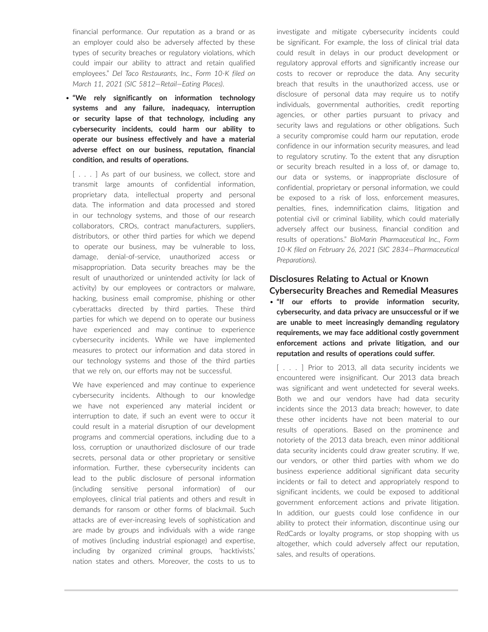financial performance. Our reputation as a brand or as an employer could also be adversely affected by these types of security breaches or regulatory violations, which could impair our ability to attract and retain qualified employees." *Del Taco Restaurants, Inc., Form 10-K filed on March 11, 2021 (SIC 5812—Retail—Eating Places)*.

• **"We rely significantly on information technology systems and any failure, inadequacy, interruption or security lapse of that technology, including any cybersecurity incidents, could harm our ability to operate our business effectively and have a material adverse effect on our business, reputation, financial condition, and results of operations.**

[ . . . ] As part of our business, we collect, store and transmit large amounts of confidential information, proprietary data, intellectual property and personal data. The information and data processed and stored in our technology systems, and those of our research collaborators, CROs, contract manufacturers, suppliers, distributors, or other third parties for which we depend to operate our business, may be vulnerable to loss, damage, denial-of-service, unauthorized access or misappropriation. Data security breaches may be the result of unauthorized or unintended activity (or lack of activity) by our employees or contractors or malware, hacking, business email compromise, phishing or other cyberattacks directed by third parties. These third parties for which we depend on to operate our business have experienced and may continue to experience cybersecurity incidents. While we have implemented measures to protect our information and data stored in our technology systems and those of the third parties that we rely on, our efforts may not be successful.

We have experienced and may continue to experience cybersecurity incidents. Although to our knowledge we have not experienced any material incident or interruption to date, if such an event were to occur it could result in a material disruption of our development programs and commercial operations, including due to a loss, corruption or unauthorized disclosure of our trade secrets, personal data or other proprietary or sensitive information. Further, these cybersecurity incidents can lead to the public disclosure of personal information (including sensitive personal information) of our employees, clinical trial patients and others and result in demands for ransom or other forms of blackmail. Such attacks are of ever-increasing levels of sophistication and are made by groups and individuals with a wide range of motives (including industrial espionage) and expertise, including by organized criminal groups, 'hacktivists,' nation states and others. Moreover, the costs to us to

investigate and mitigate cybersecurity incidents could be significant. For example, the loss of clinical trial data could result in delays in our product development or regulatory approval efforts and significantly increase our costs to recover or reproduce the data. Any security breach that results in the unauthorized access, use or disclosure of personal data may require us to notify individuals, governmental authorities, credit reporting agencies, or other parties pursuant to privacy and security laws and regulations or other obligations. Such a security compromise could harm our reputation, erode confidence in our information security measures, and lead to regulatory scrutiny. To the extent that any disruption or security breach resulted in a loss of, or damage to, our data or systems, or inappropriate disclosure of confidential, proprietary or personal information, we could be exposed to a risk of loss, enforcement measures, penalties, fines, indemnification claims, litigation and potential civil or criminal liability, which could materially adversely affect our business, financial condition and results of operations." *BioMarin Pharmaceutical Inc., Form 10-K filed on February 26, 2021 (SIC 2834—Pharmaceutical Preparations)*.

### **Disclosures Relating to Actual or Known**

**Cybersecurity Breaches and Remedial Measures**

• **"If our efforts to provide information security, cybersecurity, and data privacy are unsuccessful or if we are unable to meet increasingly demanding regulatory requirements, we may face additional costly government enforcement actions and private litigation, and our reputation and results of operations could suffer.**

[ . . . ] Prior to 2013, all data security incidents we encountered were insignificant. Our 2013 data breach was significant and went undetected for several weeks. Both we and our vendors have had data security incidents since the 2013 data breach; however, to date these other incidents have not been material to our results of operations. Based on the prominence and notoriety of the 2013 data breach, even minor additional data security incidents could draw greater scrutiny. If we, our vendors, or other third parties with whom we do business experience additional significant data security incidents or fail to detect and appropriately respond to significant incidents, we could be exposed to additional government enforcement actions and private litigation. In addition, our guests could lose confidence in our ability to protect their information, discontinue using our RedCards or loyalty programs, or stop shopping with us altogether, which could adversely affect our reputation, sales, and results of operations.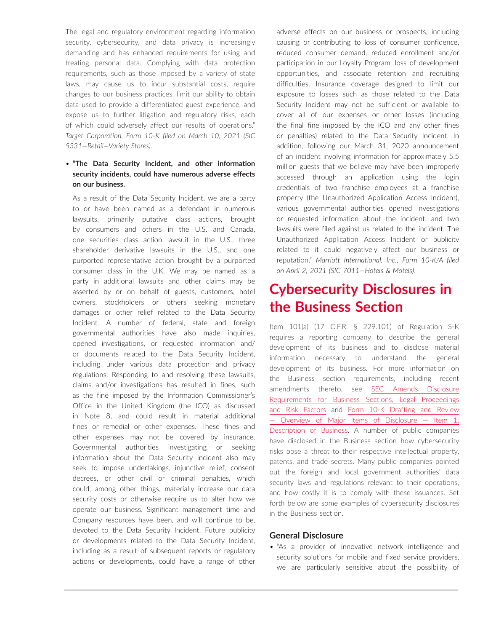The legal and regulatory environment regarding information security, cybersecurity, and data privacy is increasingly demanding and has enhanced requirements for using and treating personal data. Complying with data protection requirements, such as those imposed by a variety of state laws, may cause us to incur substantial costs, require changes to our business practices, limit our ability to obtain data used to provide a differentiated guest experience, and expose us to further litigation and regulatory risks, each of which could adversely affect our results of operations." *Target Corporation, Form 10-K filed on March 10, 2021 (SIC 5331—Retail—Variety Stores)*.

#### • **"The Data Security Incident, and other information security incidents, could have numerous adverse effects on our business.**

As a result of the Data Security Incident, we are a party to or have been named as a defendant in numerous lawsuits, primarily putative class actions, brought by consumers and others in the U.S. and Canada, one securities class action lawsuit in the U.S., three shareholder derivative lawsuits in the U.S., and one purported representative action brought by a purported consumer class in the U.K. We may be named as a party in additional lawsuits and other claims may be asserted by or on behalf of guests, customers, hotel owners, stockholders or others seeking monetary damages or other relief related to the Data Security Incident. A number of federal, state and foreign governmental authorities have also made inquiries, opened investigations, or requested information and/ or documents related to the Data Security Incident, including under various data protection and privacy regulations. Responding to and resolving these lawsuits, claims and/or investigations has resulted in fines, such as the fine imposed by the Information Commissioner's Office in the United Kingdom (the ICO) as discussed in Note 8, and could result in material additional fines or remedial or other expenses. These fines and other expenses may not be covered by insurance. Governmental authorities investigating or seeking information about the Data Security Incident also may seek to impose undertakings, injunctive relief, consent decrees, or other civil or criminal penalties, which could, among other things, materially increase our data security costs or otherwise require us to alter how we operate our business. Significant management time and Company resources have been, and will continue to be, devoted to the Data Security Incident. Future publicity or developments related to the Data Security Incident, including as a result of subsequent reports or regulatory actions or developments, could have a range of other

adverse effects on our business or prospects, including causing or contributing to loss of consumer confidence, reduced consumer demand, reduced enrollment and/or participation in our Loyalty Program, loss of development opportunities, and associate retention and recruiting difficulties. Insurance coverage designed to limit our exposure to losses such as those related to the Data Security Incident may not be sufficient or available to cover all of our expenses or other losses (including the final fine imposed by the ICO and any other fines or penalties) related to the Data Security Incident. In addition, following our March 31, 2020 announcement of an incident involving information for approximately 5.5 million guests that we believe may have been improperly accessed through an application using the login credentials of two franchise employees at a franchise property (the Unauthorized Application Access Incident), various governmental authorities opened investigations or requested information about the incident, and two lawsuits were filed against us related to the incident. The Unauthorized Application Access Incident or publicity related to it could negatively affect our business or reputation." *Marriott International, Inc., Form 10-K/A filed on April 2, 2021 (SIC 7011—Hotels & Motels)*.

# **Cybersecurity Disclosures in the Business Section**

Item 101(a) (17 C.F.R. § 229.101) of Regulation S-K requires a reporting company to describe the general development of its business and to disclose material information necessary to understand the general development of its business. For more information on the Business section requirements, including recent amendments thereto, see [SEC Amends Disclosure](https://advance.lexis.com/open/document/lpadocument/?pdmfid=1000522&pddocfullpath=%2Fshared%2Fdocument%2Fanalytical-materials%2Furn%3AcontentItem%3A611X-B5R1-F60C-X3YG-00000-00&pdcontentcomponentid=500750&pdteaserkey=sr0&pditab=allpods&ecomp=ptrg&earg=sr0) [Requirements for Business Sections, Legal Proceedings](https://advance.lexis.com/open/document/lpadocument/?pdmfid=1000522&pddocfullpath=%2Fshared%2Fdocument%2Fanalytical-materials%2Furn%3AcontentItem%3A611X-B5R1-F60C-X3YG-00000-00&pdcontentcomponentid=500750&pdteaserkey=sr0&pditab=allpods&ecomp=ptrg&earg=sr0) [and Risk Factors](https://advance.lexis.com/open/document/lpadocument/?pdmfid=1000522&pddocfullpath=%2Fshared%2Fdocument%2Fanalytical-materials%2Furn%3AcontentItem%3A611X-B5R1-F60C-X3YG-00000-00&pdcontentcomponentid=500750&pdteaserkey=sr0&pditab=allpods&ecomp=ptrg&earg=sr0) and [Form 10-K Drafting and Review](https://advance.lexis.com/open/document/lpadocument/?pdmfid=1000522&pddocfullpath=%2Fshared%2Fdocument%2Fanalytical-materials%2Furn%3AcontentItem%3A5F28-XHM1-JNCK-23SS-00000-00&pdcontentcomponentid=500749&pdteaserkey=sr0&pditab=allpods&ecomp=ptrg&earg=sr0) [— Overview of Major Items of Disclosure — Item 1.](https://advance.lexis.com/open/document/lpadocument/?pdmfid=1000522&pddocfullpath=%2Fshared%2Fdocument%2Fanalytical-materials%2Furn%3AcontentItem%3A5F28-XHM1-JNCK-23SS-00000-00&pdcontentcomponentid=500749&pdteaserkey=sr0&pditab=allpods&ecomp=ptrg&earg=sr0) [Description of Business.](https://advance.lexis.com/open/document/lpadocument/?pdmfid=1000522&pddocfullpath=%2Fshared%2Fdocument%2Fanalytical-materials%2Furn%3AcontentItem%3A5F28-XHM1-JNCK-23SS-00000-00&pdcontentcomponentid=500749&pdteaserkey=sr0&pditab=allpods&ecomp=ptrg&earg=sr0) A number of public companies have disclosed in the Business section how cybersecurity risks pose a threat to their respective intellectual property, patents, and trade secrets. Many public companies pointed out the foreign and local government authorities' data security laws and regulations relevant to their operations, and how costly it is to comply with these issuances. Set forth below are some examples of cybersecurity disclosures in the Business section.

### **General Disclosure**

• "As a provider of innovative network intelligence and security solutions for mobile and fixed service providers, we are particularly sensitive about the possibility of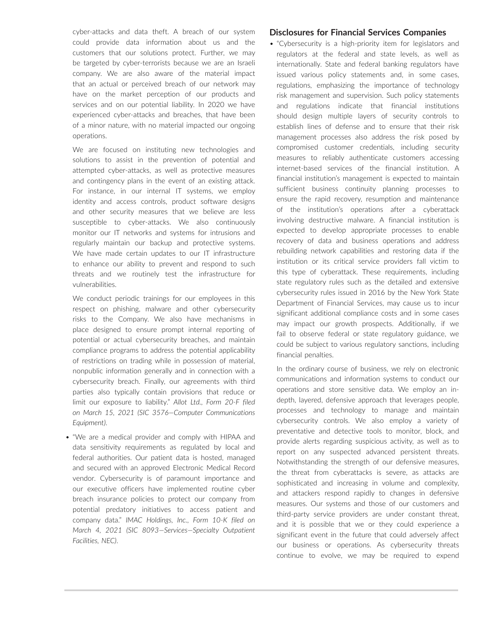cyber-attacks and data theft. A breach of our system could provide data information about us and the customers that our solutions protect. Further, we may be targeted by cyber-terrorists because we are an Israeli company. We are also aware of the material impact that an actual or perceived breach of our network may have on the market perception of our products and services and on our potential liability. In 2020 we have experienced cyber-attacks and breaches, that have been of a minor nature, with no material impacted our ongoing operations.

We are focused on instituting new technologies and solutions to assist in the prevention of potential and attempted cyber-attacks, as well as protective measures and contingency plans in the event of an existing attack. For instance, in our internal IT systems, we employ identity and access controls, product software designs and other security measures that we believe are less susceptible to cyber-attacks. We also continuously monitor our IT networks and systems for intrusions and regularly maintain our backup and protective systems. We have made certain updates to our IT infrastructure to enhance our ability to prevent and respond to such threats and we routinely test the infrastructure for vulnerabilities.

We conduct periodic trainings for our employees in this respect on phishing, malware and other cybersecurity risks to the Company. We also have mechanisms in place designed to ensure prompt internal reporting of potential or actual cybersecurity breaches, and maintain compliance programs to address the potential applicability of restrictions on trading while in possession of material, nonpublic information generally and in connection with a cybersecurity breach. Finally, our agreements with third parties also typically contain provisions that reduce or limit our exposure to liability." *Allot Ltd., Form 20-F filed on March 15, 2021 (SIC 3576—Computer Communications Equipment)*.

• "We are a medical provider and comply with HIPAA and data sensitivity requirements as regulated by local and federal authorities. Our patient data is hosted, managed and secured with an approved Electronic Medical Record vendor. Cybersecurity is of paramount importance and our executive officers have implemented routine cyber breach insurance policies to protect our company from potential predatory initiatives to access patient and company data." *IMAC Holdings, Inc., Form 10-K filed on March 4, 2021 (SIC 8093—Services—Specialty Outpatient Facilities, NEC)*.

#### **Disclosures for Financial Services Companies**

• "Cybersecurity is a high-priority item for legislators and regulators at the federal and state levels, as well as internationally. State and federal banking regulators have issued various policy statements and, in some cases, regulations, emphasizing the importance of technology risk management and supervision. Such policy statements and regulations indicate that financial institutions should design multiple layers of security controls to establish lines of defense and to ensure that their risk management processes also address the risk posed by compromised customer credentials, including security measures to reliably authenticate customers accessing internet-based services of the financial institution. A financial institution's management is expected to maintain sufficient business continuity planning processes to ensure the rapid recovery, resumption and maintenance of the institution's operations after a cyberattack involving destructive malware. A financial institution is expected to develop appropriate processes to enable recovery of data and business operations and address rebuilding network capabilities and restoring data if the institution or its critical service providers fall victim to this type of cyberattack. These requirements, including state regulatory rules such as the detailed and extensive cybersecurity rules issued in 2016 by the New York State Department of Financial Services, may cause us to incur significant additional compliance costs and in some cases may impact our growth prospects. Additionally, if we fail to observe federal or state regulatory guidance, we could be subject to various regulatory sanctions, including financial penalties.

In the ordinary course of business, we rely on electronic communications and information systems to conduct our operations and store sensitive data. We employ an indepth, layered, defensive approach that leverages people, processes and technology to manage and maintain cybersecurity controls. We also employ a variety of preventative and detective tools to monitor, block, and provide alerts regarding suspicious activity, as well as to report on any suspected advanced persistent threats. Notwithstanding the strength of our defensive measures, the threat from cyberattacks is severe, as attacks are sophisticated and increasing in volume and complexity, and attackers respond rapidly to changes in defensive measures. Our systems and those of our customers and third-party service providers are under constant threat, and it is possible that we or they could experience a significant event in the future that could adversely affect our business or operations. As cybersecurity threats continue to evolve, we may be required to expend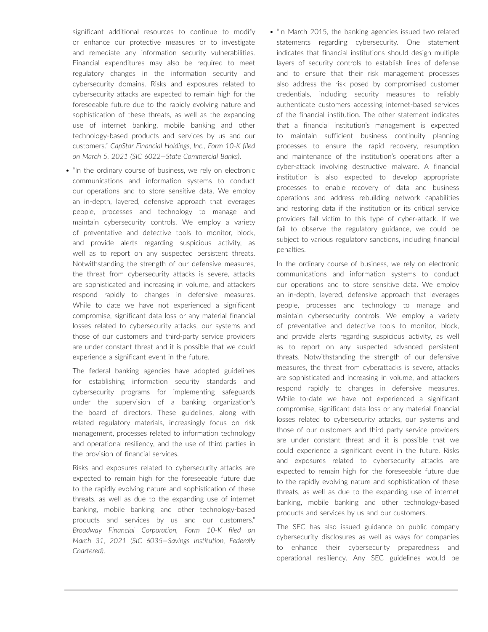significant additional resources to continue to modify or enhance our protective measures or to investigate and remediate any information security vulnerabilities. Financial expenditures may also be required to meet regulatory changes in the information security and cybersecurity domains. Risks and exposures related to cybersecurity attacks are expected to remain high for the foreseeable future due to the rapidly evolving nature and sophistication of these threats, as well as the expanding use of internet banking, mobile banking and other technology-based products and services by us and our customers." *CapStar Financial Holdings, Inc., Form 10-K filed on March 5, 2021 (SIC 6022—State Commercial Banks)*.

• "In the ordinary course of business, we rely on electronic communications and information systems to conduct our operations and to store sensitive data. We employ an in-depth, layered, defensive approach that leverages people, processes and technology to manage and maintain cybersecurity controls. We employ a variety of preventative and detective tools to monitor, block, and provide alerts regarding suspicious activity, as well as to report on any suspected persistent threats. Notwithstanding the strength of our defensive measures, the threat from cybersecurity attacks is severe, attacks are sophisticated and increasing in volume, and attackers respond rapidly to changes in defensive measures. While to date we have not experienced a significant compromise, significant data loss or any material financial losses related to cybersecurity attacks, our systems and those of our customers and third-party service providers are under constant threat and it is possible that we could experience a significant event in the future.

The federal banking agencies have adopted guidelines for establishing information security standards and cybersecurity programs for implementing safeguards under the supervision of a banking organization's the board of directors. These guidelines, along with related regulatory materials, increasingly focus on risk management, processes related to information technology and operational resiliency, and the use of third parties in the provision of financial services.

Risks and exposures related to cybersecurity attacks are expected to remain high for the foreseeable future due to the rapidly evolving nature and sophistication of these threats, as well as due to the expanding use of internet banking, mobile banking and other technology-based products and services by us and our customers." *Broadway Financial Corporation, Form 10-K filed on March 31, 2021 (SIC 6035—Savings Institution, Federally Chartered)*.

• "In March 2015, the banking agencies issued two related statements regarding cybersecurity. One statement indicates that financial institutions should design multiple layers of security controls to establish lines of defense and to ensure that their risk management processes also address the risk posed by compromised customer credentials, including security measures to reliably authenticate customers accessing internet-based services of the financial institution. The other statement indicates that a financial institution's management is expected to maintain sufficient business continuity planning processes to ensure the rapid recovery, resumption and maintenance of the institution's operations after a cyber-attack involving destructive malware. A financial institution is also expected to develop appropriate processes to enable recovery of data and business operations and address rebuilding network capabilities and restoring data if the institution or its critical service providers fall victim to this type of cyber-attack. If we fail to observe the regulatory guidance, we could be subject to various regulatory sanctions, including financial penalties.

In the ordinary course of business, we rely on electronic communications and information systems to conduct our operations and to store sensitive data. We employ an in-depth, layered, defensive approach that leverages people, processes and technology to manage and maintain cybersecurity controls. We employ a variety of preventative and detective tools to monitor, block, and provide alerts regarding suspicious activity, as well as to report on any suspected advanced persistent threats. Notwithstanding the strength of our defensive measures, the threat from cyberattacks is severe, attacks are sophisticated and increasing in volume, and attackers respond rapidly to changes in defensive measures. While to-date we have not experienced a significant compromise, significant data loss or any material financial losses related to cybersecurity attacks, our systems and those of our customers and third party service providers are under constant threat and it is possible that we could experience a significant event in the future. Risks and exposures related to cybersecurity attacks are expected to remain high for the foreseeable future due to the rapidly evolving nature and sophistication of these threats, as well as due to the expanding use of internet banking, mobile banking and other technology-based products and services by us and our customers.

The SEC has also issued guidance on public company cybersecurity disclosures as well as ways for companies to enhance their cybersecurity preparedness and operational resiliency. Any SEC guidelines would be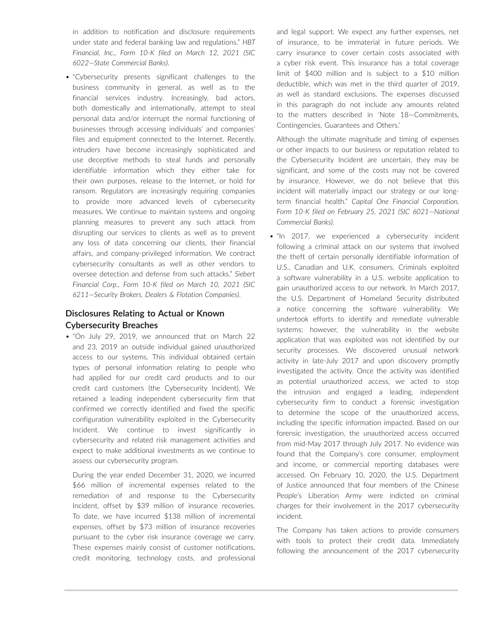in addition to notification and disclosure requirements under state and federal banking law and regulations." *HBT Financial, Inc., Form 10-K filed on March 12, 2021 (SIC 6022—State Commercial Banks)*.

• "Cybersecurity presents significant challenges to the business community in general, as well as to the financial services industry. Increasingly, bad actors, both domestically and internationally, attempt to steal personal data and/or interrupt the normal functioning of businesses through accessing individuals' and companies' files and equipment connected to the Internet. Recently, intruders have become increasingly sophisticated and use deceptive methods to steal funds and personally identifiable information which they either take for their own purposes, release to the Internet, or hold for ransom. Regulators are increasingly requiring companies to provide more advanced levels of cybersecurity measures. We continue to maintain systems and ongoing planning measures to prevent any such attack from disrupting our services to clients as well as to prevent any loss of data concerning our clients, their financial affairs, and company-privileged information. We contract cybersecurity consultants as well as other vendors to oversee detection and defense from such attacks." *Siebert Financial Corp., Form 10-K filed on March 10, 2021 (SIC 6211—Security Brokers, Dealers & Flotation Companies)*.

# **Disclosures Relating to Actual or Known Cybersecurity Breaches**

• "On July 29, 2019, we announced that on March 22 and 23, 2019 an outside individual gained unauthorized access to our systems. This individual obtained certain types of personal information relating to people who had applied for our credit card products and to our credit card customers (the Cybersecurity Incident). We retained a leading independent cybersecurity firm that confirmed we correctly identified and fixed the specific configuration vulnerability exploited in the Cybersecurity Incident. We continue to invest significantly in cybersecurity and related risk management activities and expect to make additional investments as we continue to assess our cybersecurity program.

During the year ended December 31, 2020, we incurred \$66 million of incremental expenses related to the remediation of and response to the Cybersecurity Incident, offset by \$39 million of insurance recoveries. To date, we have incurred \$138 million of incremental expenses, offset by \$73 million of insurance recoveries pursuant to the cyber risk insurance coverage we carry. These expenses mainly consist of customer notifications, credit monitoring, technology costs, and professional

and legal support. We expect any further expenses, net of insurance, to be immaterial in future periods. We carry insurance to cover certain costs associated with a cyber risk event. This insurance has a total coverage limit of \$400 million and is subject to a \$10 million deductible, which was met in the third quarter of 2019, as well as standard exclusions. The expenses discussed in this paragraph do not include any amounts related to the matters described in 'Note 18—Commitments, Contingencies, Guarantees and Others.'

Although the ultimate magnitude and timing of expenses or other impacts to our business or reputation related to the Cybersecurity Incident are uncertain, they may be significant, and some of the costs may not be covered by insurance. However, we do not believe that this incident will materially impact our strategy or our longterm financial health." *Capital One Financial Corporation, Form 10-K filed on February 25, 2021 (SIC 6021—National Commercial Banks)*.

• "In 2017, we experienced a cybersecurity incident following a criminal attack on our systems that involved the theft of certain personally identifiable information of U.S., Canadian and U.K. consumers. Criminals exploited a software vulnerability in a U.S. website application to gain unauthorized access to our network. In March 2017, the U.S. Department of Homeland Security distributed a notice concerning the software vulnerability. We undertook efforts to identify and remediate vulnerable systems; however, the vulnerability in the website application that was exploited was not identified by our security processes. We discovered unusual network activity in late-July 2017 and upon discovery promptly investigated the activity. Once the activity was identified as potential unauthorized access, we acted to stop the intrusion and engaged a leading, independent cybersecurity firm to conduct a forensic investigation to determine the scope of the unauthorized access, including the specific information impacted. Based on our forensic investigation, the unauthorized access occurred from mid-May 2017 through July 2017. No evidence was found that the Company's core consumer, employment and income, or commercial reporting databases were accessed. On February 10, 2020, the U.S. Department of Justice announced that four members of the Chinese People's Liberation Army were indicted on criminal charges for their involvement in the 2017 cybersecurity incident.

The Company has taken actions to provide consumers with tools to protect their credit data. Immediately following the announcement of the 2017 cybersecurity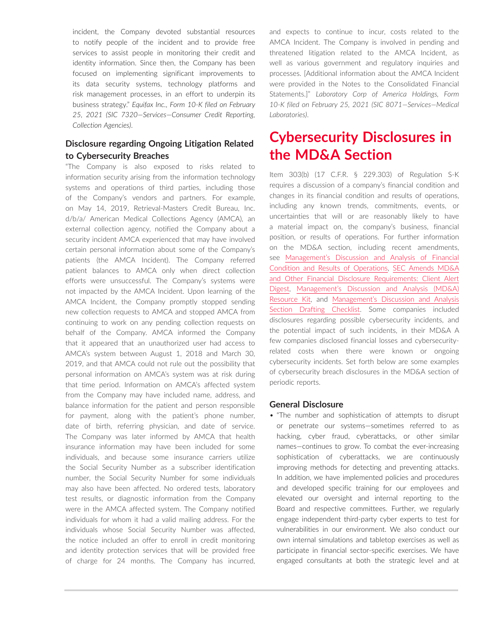incident, the Company devoted substantial resources to notify people of the incident and to provide free services to assist people in monitoring their credit and identity information. Since then, the Company has been focused on implementing significant improvements to its data security systems, technology platforms and risk management processes, in an effort to underpin its business strategy." *Equifax Inc., Form 10-K filed on February 25, 2021 (SIC 7320—Services—Consumer Credit Reporting, Collection Agencies)*.

# **Disclosure regarding Ongoing Litigation Related to Cybersecurity Breaches**

"The Company is also exposed to risks related to information security arising from the information technology systems and operations of third parties, including those of the Company's vendors and partners. For example, on May 14, 2019, Retrieval-Masters Credit Bureau, Inc. d/b/a/ American Medical Collections Agency (AMCA), an external collection agency, notified the Company about a security incident AMCA experienced that may have involved certain personal information about some of the Company's patients (the AMCA Incident). The Company referred patient balances to AMCA only when direct collection efforts were unsuccessful. The Company's systems were not impacted by the AMCA Incident. Upon learning of the AMCA Incident, the Company promptly stopped sending new collection requests to AMCA and stopped AMCA from continuing to work on any pending collection requests on behalf of the Company. AMCA informed the Company that it appeared that an unauthorized user had access to AMCA's system between August 1, 2018 and March 30, 2019, and that AMCA could not rule out the possibility that personal information on AMCA's system was at risk during that time period. Information on AMCA's affected system from the Company may have included name, address, and balance information for the patient and person responsible for payment, along with the patient's phone number, date of birth, referring physician, and date of service. The Company was later informed by AMCA that health insurance information may have been included for some individuals, and because some insurance carriers utilize the Social Security Number as a subscriber identification number, the Social Security Number for some individuals may also have been affected. No ordered tests, laboratory test results, or diagnostic information from the Company were in the AMCA affected system. The Company notified individuals for whom it had a valid mailing address. For the individuals whose Social Security Number was affected, the notice included an offer to enroll in credit monitoring and identity protection services that will be provided free of charge for 24 months. The Company has incurred, and expects to continue to incur, costs related to the AMCA Incident. The Company is involved in pending and threatened litigation related to the AMCA Incident, as well as various government and regulatory inquiries and processes. [Additional information about the AMCA Incident were provided in the Notes to the Consolidated Financial Statements.]" *Laboratory Corp of America Holdings, Form 10-K filed on February 25, 2021 (SIC 8071—Services—Medical Laboratories)*.

# **Cybersecurity Disclosures in the MD&A Section**

Item 303(b) (17 C.F.R. § 229.303) of Regulation S-K requires a discussion of a company's financial condition and changes in its financial condition and results of operations, including any known trends, commitments, events, or uncertainties that will or are reasonably likely to have a material impact on, the company's business, financial position, or results of operations. For further information on the MD&A section, including recent amendments, see [Management's Discussion and Analysis of Financial](https://advance.lexis.com/open/document/lpadocument/?pdmfid=1000522&pddocfullpath=%2Fshared%2Fdocument%2Fanalytical-materials%2Furn%3AcontentItem%3A5P9P-JJ71-JNJT-B38K-00000-00&pdcontentcomponentid=500749&pdteaserkey=sr0&pditab=allpods&ecomp=ptrg&earg=sr0) [Condition and Results of Operations,](https://advance.lexis.com/open/document/lpadocument/?pdmfid=1000522&pddocfullpath=%2Fshared%2Fdocument%2Fanalytical-materials%2Furn%3AcontentItem%3A5P9P-JJ71-JNJT-B38K-00000-00&pdcontentcomponentid=500749&pdteaserkey=sr0&pditab=allpods&ecomp=ptrg&earg=sr0) [SEC Amends MD&A](https://advance.lexis.com/open/document/lpadocument/?pdmfid=1000522&pddocfullpath=%2Fshared%2Fdocument%2Fanalytical-materials%2Furn%3AcontentItem%3A61FB-PNR1-JN14-G0F7-00000-00&pdcontentcomponentid=500750&pdteaserkey=sr0&pditab=allpods&ecomp=ptrg&earg=sr0) [and Other Financial Disclosure Requirements: Client Alert](https://advance.lexis.com/open/document/lpadocument/?pdmfid=1000522&pddocfullpath=%2Fshared%2Fdocument%2Fanalytical-materials%2Furn%3AcontentItem%3A61FB-PNR1-JN14-G0F7-00000-00&pdcontentcomponentid=500750&pdteaserkey=sr0&pditab=allpods&ecomp=ptrg&earg=sr0) [Digest](https://advance.lexis.com/open/document/lpadocument/?pdmfid=1000522&pddocfullpath=%2Fshared%2Fdocument%2Fanalytical-materials%2Furn%3AcontentItem%3A61FB-PNR1-JN14-G0F7-00000-00&pdcontentcomponentid=500750&pdteaserkey=sr0&pditab=allpods&ecomp=ptrg&earg=sr0), [Management's Discussion and Analysis \(MD&A\)](https://advance.lexis.com/open/document/lpadocument/?pdmfid=1000522&pddocfullpath=%2Fshared%2Fdocument%2Fanalytical-materials%2Furn%3AcontentItem%3A62N1-W4H1-FGRY-B3N2-00000-00&pdcontentcomponentid=500749&pdteaserkey=sr0&pditab=allpods&ecomp=ptrg&earg=sr0) [Resource Kit,](https://advance.lexis.com/open/document/lpadocument/?pdmfid=1000522&pddocfullpath=%2Fshared%2Fdocument%2Fanalytical-materials%2Furn%3AcontentItem%3A62N1-W4H1-FGRY-B3N2-00000-00&pdcontentcomponentid=500749&pdteaserkey=sr0&pditab=allpods&ecomp=ptrg&earg=sr0) and [Management's Discussion and Analysis](https://advance.lexis.com/open/document/lpadocument/?pdmfid=1000522&pddocfullpath=%2Fshared%2Fdocument%2Fforms%2Furn%3AcontentItem%3A5J0K-KPC1-FG68-G23C-00000-00&pdcontentcomponentid=500751&pdteaserkey=sr0&pditab=allpods&ecomp=ptrg&earg=sr0) [Section Drafting Checklist.](https://advance.lexis.com/open/document/lpadocument/?pdmfid=1000522&pddocfullpath=%2Fshared%2Fdocument%2Fforms%2Furn%3AcontentItem%3A5J0K-KPC1-FG68-G23C-00000-00&pdcontentcomponentid=500751&pdteaserkey=sr0&pditab=allpods&ecomp=ptrg&earg=sr0) Some companies included disclosures regarding possible cybersecurity incidents, and the potential impact of such incidents, in their MD&A A few companies disclosed financial losses and cybersecurityrelated costs when there were known or ongoing cybersecurity incidents. Set forth below are some examples of cybersecurity breach disclosures in the MD&A section of periodic reports.

#### **General Disclosure**

• "The number and sophistication of attempts to disrupt or penetrate our systems—sometimes referred to as hacking, cyber fraud, cyberattacks, or other similar names—continues to grow. To combat the ever-increasing sophistication of cyberattacks, we are continuously improving methods for detecting and preventing attacks. In addition, we have implemented policies and procedures and developed specific training for our employees and elevated our oversight and internal reporting to the Board and respective committees. Further, we regularly engage independent third-party cyber experts to test for vulnerabilities in our environment. We also conduct our own internal simulations and tabletop exercises as well as participate in financial sector-specific exercises. We have engaged consultants at both the strategic level and at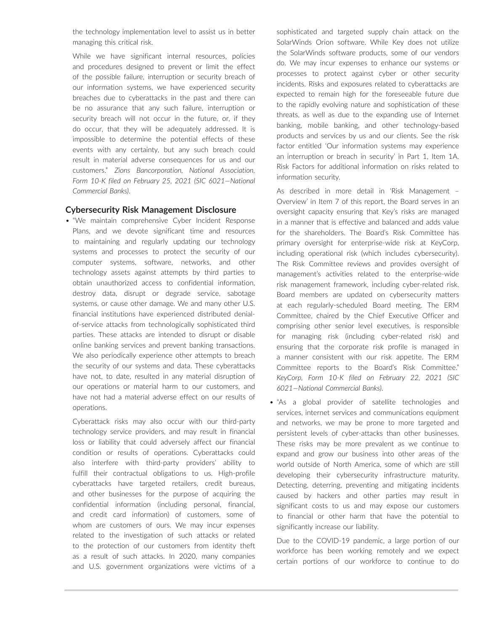the technology implementation level to assist us in better managing this critical risk.

While we have significant internal resources, policies and procedures designed to prevent or limit the effect of the possible failure, interruption or security breach of our information systems, we have experienced security breaches due to cyberattacks in the past and there can be no assurance that any such failure, interruption or security breach will not occur in the future, or, if they do occur, that they will be adequately addressed. It is impossible to determine the potential effects of these events with any certainty, but any such breach could result in material adverse consequences for us and our customers." *Zions Bancorporation, National Association, Form 10-K filed on February 25, 2021 (SIC 6021—National Commercial Banks)*.

#### **Cybersecurity Risk Management Disclosure**

• "We maintain comprehensive Cyber Incident Response Plans, and we devote significant time and resources to maintaining and regularly updating our technology systems and processes to protect the security of our computer systems, software, networks, and other technology assets against attempts by third parties to obtain unauthorized access to confidential information, destroy data, disrupt or degrade service, sabotage systems, or cause other damage. We and many other U.S. financial institutions have experienced distributed denialof-service attacks from technologically sophisticated third parties. These attacks are intended to disrupt or disable online banking services and prevent banking transactions. We also periodically experience other attempts to breach the security of our systems and data. These cyberattacks have not, to date, resulted in any material disruption of our operations or material harm to our customers, and have not had a material adverse effect on our results of operations.

Cyberattack risks may also occur with our third-party technology service providers, and may result in financial loss or liability that could adversely affect our financial condition or results of operations. Cyberattacks could also interfere with third-party providers' ability to fulfill their contractual obligations to us. High-profile cyberattacks have targeted retailers, credit bureaus, and other businesses for the purpose of acquiring the confidential information (including personal, financial, and credit card information) of customers, some of whom are customers of ours. We may incur expenses related to the investigation of such attacks or related to the protection of our customers from identity theft as a result of such attacks. In 2020, many companies and U.S. government organizations were victims of a sophisticated and targeted supply chain attack on the SolarWinds Orion software. While Key does not utilize the SolarWinds software products, some of our vendors do. We may incur expenses to enhance our systems or processes to protect against cyber or other security incidents. Risks and exposures related to cyberattacks are expected to remain high for the foreseeable future due to the rapidly evolving nature and sophistication of these threats, as well as due to the expanding use of Internet banking, mobile banking, and other technology-based products and services by us and our clients. See the risk factor entitled 'Our information systems may experience an interruption or breach in security' in Part 1, Item 1A. Risk Factors for additional information on risks related to information security.

As described in more detail in 'Risk Management – Overview' in Item 7 of this report, the Board serves in an oversight capacity ensuring that Key's risks are managed in a manner that is effective and balanced and adds value for the shareholders. The Board's Risk Committee has primary oversight for enterprise-wide risk at KeyCorp, including operational risk (which includes cybersecurity). The Risk Committee reviews and provides oversight of management's activities related to the enterprise-wide risk management framework, including cyber-related risk. Board members are updated on cybersecurity matters at each regularly-scheduled Board meeting. The ERM Committee, chaired by the Chief Executive Officer and comprising other senior level executives, is responsible for managing risk (including cyber-related risk) and ensuring that the corporate risk profile is managed in a manner consistent with our risk appetite. The ERM Committee reports to the Board's Risk Committee." *KeyCorp, Form 10-K filed on February 22, 2021 (SIC 6021—National Commercial Banks)*.

• "As a global provider of satellite technologies and services, internet services and communications equipment and networks, we may be prone to more targeted and persistent levels of cyber-attacks than other businesses. These risks may be more prevalent as we continue to expand and grow our business into other areas of the world outside of North America, some of which are still developing their cybersecurity infrastructure maturity. Detecting, deterring, preventing and mitigating incidents caused by hackers and other parties may result in significant costs to us and may expose our customers to financial or other harm that have the potential to significantly increase our liability.

Due to the COVID-19 pandemic, a large portion of our workforce has been working remotely and we expect certain portions of our workforce to continue to do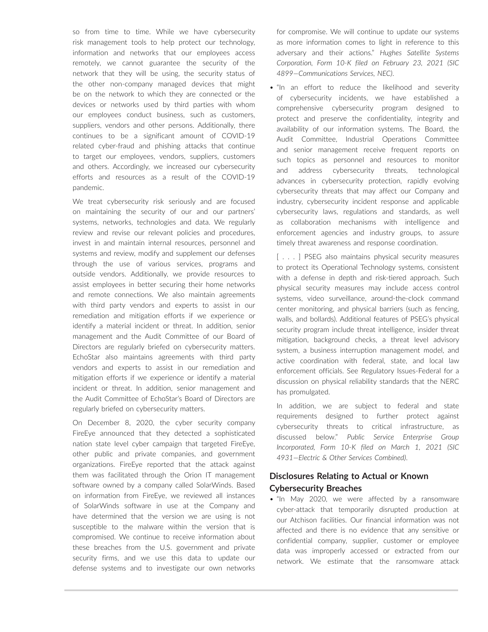so from time to time. While we have cybersecurity risk management tools to help protect our technology, information and networks that our employees access remotely, we cannot guarantee the security of the network that they will be using, the security status of the other non-company managed devices that might be on the network to which they are connected or the devices or networks used by third parties with whom our employees conduct business, such as customers, suppliers, vendors and other persons. Additionally, there continues to be a significant amount of COVID-19 related cyber-fraud and phishing attacks that continue to target our employees, vendors, suppliers, customers and others. Accordingly, we increased our cybersecurity efforts and resources as a result of the COVID-19 pandemic.

We treat cybersecurity risk seriously and are focused on maintaining the security of our and our partners' systems, networks, technologies and data. We regularly review and revise our relevant policies and procedures, invest in and maintain internal resources, personnel and systems and review, modify and supplement our defenses through the use of various services, programs and outside vendors. Additionally, we provide resources to assist employees in better securing their home networks and remote connections. We also maintain agreements with third party vendors and experts to assist in our remediation and mitigation efforts if we experience or identify a material incident or threat. In addition, senior management and the Audit Committee of our Board of Directors are regularly briefed on cybersecurity matters. EchoStar also maintains agreements with third party vendors and experts to assist in our remediation and mitigation efforts if we experience or identify a material incident or threat. In addition, senior management and the Audit Committee of EchoStar's Board of Directors are regularly briefed on cybersecurity matters.

On December 8, 2020, the cyber security company FireEye announced that they detected a sophisticated nation state level cyber campaign that targeted FireEye, other public and private companies, and government organizations. FireEye reported that the attack against them was facilitated through the Orion IT management software owned by a company called SolarWinds. Based on information from FireEye, we reviewed all instances of SolarWinds software in use at the Company and have determined that the version we are using is not susceptible to the malware within the version that is compromised. We continue to receive information about these breaches from the U.S. government and private security firms, and we use this data to update our defense systems and to investigate our own networks for compromise. We will continue to update our systems as more information comes to light in reference to this adversary and their actions." *Hughes Satellite Systems Corporation, Form 10-K filed on February 23, 2021 (SIC 4899—Communications Services, NEC)*.

• "In an effort to reduce the likelihood and severity of cybersecurity incidents, we have established a comprehensive cybersecurity program designed to protect and preserve the confidentiality, integrity and availability of our information systems. The Board, the Audit Committee, Industrial Operations Committee and senior management receive frequent reports on such topics as personnel and resources to monitor and address cybersecurity threats, technological advances in cybersecurity protection, rapidly evolving cybersecurity threats that may affect our Company and industry, cybersecurity incident response and applicable cybersecurity laws, regulations and standards, as well as collaboration mechanisms with intelligence and enforcement agencies and industry groups, to assure timely threat awareness and response coordination.

[ . . . ] PSEG also maintains physical security measures to protect its Operational Technology systems, consistent with a defense in depth and risk-tiered approach. Such physical security measures may include access control systems, video surveillance, around-the-clock command center monitoring, and physical barriers (such as fencing, walls, and bollards). Additional features of PSEG's physical security program include threat intelligence, insider threat mitigation, background checks, a threat level advisory system, a business interruption management model, and active coordination with federal, state, and local law enforcement officials. See Regulatory Issues-Federal for a discussion on physical reliability standards that the NERC has promulgated.

In addition, we are subject to federal and state requirements designed to further protect against cybersecurity threats to critical infrastructure, as discussed below." *Public Service Enterprise Group Incorporated, Form 10-K filed on March 1, 2021 (SIC 4931—Electric & Other Services Combined)*.

# **Disclosures Relating to Actual or Known Cybersecurity Breaches**

• "In May 2020, we were affected by a ransomware cyber-attack that temporarily disrupted production at our Atchison facilities. Our financial information was not affected and there is no evidence that any sensitive or confidential company, supplier, customer or employee data was improperly accessed or extracted from our network. We estimate that the ransomware attack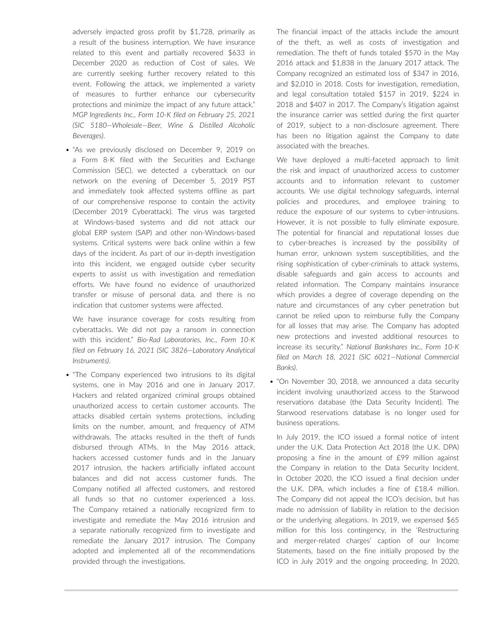adversely impacted gross profit by \$1,728, primarily as a result of the business interruption. We have insurance related to this event and partially recovered \$633 in December 2020 as reduction of Cost of sales. We are currently seeking further recovery related to this event. Following the attack, we implemented a variety of measures to further enhance our cybersecurity protections and minimize the impact of any future attack." *MGP Ingredients Inc., Form 10-K filed on February 25, 2021 (SIC 5180—Wholesale—Beer, Wine & Distilled Alcoholic Beverages)*.

• "As we previously disclosed on December 9, 2019 on a Form 8-K filed with the Securities and Exchange Commission (SEC), we detected a cyberattack on our network on the evening of December 5, 2019 PST and immediately took affected systems offline as part of our comprehensive response to contain the activity (December 2019 Cyberattack). The virus was targeted at Windows-based systems and did not attack our global ERP system (SAP) and other non-Windows-based systems. Critical systems were back online within a few days of the incident. As part of our in-depth investigation into this incident, we engaged outside cyber security experts to assist us with investigation and remediation efforts. We have found no evidence of unauthorized transfer or misuse of personal data, and there is no indication that customer systems were affected.

We have insurance coverage for costs resulting from cyberattacks. We did not pay a ransom in connection with this incident." *Bio-Rad Laboratories, Inc., Form 10-K filed on February 16, 2021 (SIC 3826—Laboratory Analytical Instruments)*.

• "The Company experienced two intrusions to its digital systems, one in May 2016 and one in January 2017. Hackers and related organized criminal groups obtained unauthorized access to certain customer accounts. The attacks disabled certain systems protections, including limits on the number, amount, and frequency of ATM withdrawals. The attacks resulted in the theft of funds disbursed through ATMs. In the May 2016 attack, hackers accessed customer funds and in the January 2017 intrusion, the hackers artificially inflated account balances and did not access customer funds. The Company notified all affected customers, and restored all funds so that no customer experienced a loss. The Company retained a nationally recognized firm to investigate and remediate the May 2016 intrusion and a separate nationally recognized firm to investigate and remediate the January 2017 intrusion. The Company adopted and implemented all of the recommendations provided through the investigations.

The financial impact of the attacks include the amount of the theft, as well as costs of investigation and remediation. The theft of funds totaled \$570 in the May 2016 attack and \$1,838 in the January 2017 attack. The Company recognized an estimated loss of \$347 in 2016, and \$2,010 in 2018. Costs for investigation, remediation, and legal consultation totaled \$157 in 2019, \$224 in 2018 and \$407 in 2017. The Company's litigation against the insurance carrier was settled during the first quarter of 2019, subject to a non-disclosure agreement. There has been no litigation against the Company to date associated with the breaches.

We have deployed a multi-faceted approach to limit the risk and impact of unauthorized access to customer accounts and to information relevant to customer accounts. We use digital technology safeguards, internal policies and procedures, and employee training to reduce the exposure of our systems to cyber-intrusions. However, it is not possible to fully eliminate exposure. The potential for financial and reputational losses due to cyber-breaches is increased by the possibility of human error, unknown system susceptibilities, and the rising sophistication of cyber-criminals to attack systems, disable safeguards and gain access to accounts and related information. The Company maintains insurance which provides a degree of coverage depending on the nature and circumstances of any cyber penetration but cannot be relied upon to reimburse fully the Company for all losses that may arise. The Company has adopted new protections and invested additional resources to increase its security." *National Bankshares Inc., Form 10-K filed on March 18, 2021 (SIC 6021—National Commercial Banks)*.

• "On November 30, 2018, we announced a data security incident involving unauthorized access to the Starwood reservations database (the Data Security Incident). The Starwood reservations database is no longer used for business operations.

In July 2019, the ICO issued a formal notice of intent under the U.K. Data Protection Act 2018 (the U.K. DPA) proposing a fine in the amount of £99 million against the Company in relation to the Data Security Incident. In October 2020, the ICO issued a final decision under the U.K. DPA, which includes a fine of £18.4 million. The Company did not appeal the ICO's decision, but has made no admission of liability in relation to the decision or the underlying allegations. In 2019, we expensed \$65 million for this loss contingency, in the 'Restructuring and merger-related charges' caption of our Income Statements, based on the fine initially proposed by the ICO in July 2019 and the ongoing proceeding. In 2020,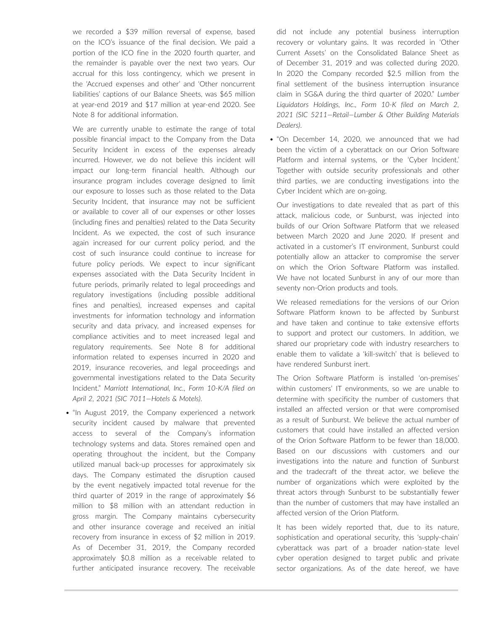we recorded a \$39 million reversal of expense, based on the ICO's issuance of the final decision. We paid a portion of the ICO fine in the 2020 fourth quarter, and the remainder is payable over the next two years. Our accrual for this loss contingency, which we present in the 'Accrued expenses and other' and 'Other noncurrent liabilities' captions of our Balance Sheets, was \$65 million at year-end 2019 and \$17 million at year-end 2020. See Note 8 for additional information.

We are currently unable to estimate the range of total possible financial impact to the Company from the Data Security Incident in excess of the expenses already incurred. However, we do not believe this incident will impact our long-term financial health. Although our insurance program includes coverage designed to limit our exposure to losses such as those related to the Data Security Incident, that insurance may not be sufficient or available to cover all of our expenses or other losses (including fines and penalties) related to the Data Security Incident. As we expected, the cost of such insurance again increased for our current policy period, and the cost of such insurance could continue to increase for future policy periods. We expect to incur significant expenses associated with the Data Security Incident in future periods, primarily related to legal proceedings and regulatory investigations (including possible additional fines and penalties), increased expenses and capital investments for information technology and information security and data privacy, and increased expenses for compliance activities and to meet increased legal and regulatory requirements. See Note 8 for additional information related to expenses incurred in 2020 and 2019, insurance recoveries, and legal proceedings and governmental investigations related to the Data Security Incident." *Marriott International, Inc., Form 10-K/A filed on April 2, 2021 (SIC 7011—Hotels & Motels)*.

• "In August 2019, the Company experienced a network security incident caused by malware that prevented access to several of the Company's information technology systems and data. Stores remained open and operating throughout the incident, but the Company utilized manual back-up processes for approximately six days. The Company estimated the disruption caused by the event negatively impacted total revenue for the third quarter of 2019 in the range of approximately \$6 million to \$8 million with an attendant reduction in gross margin. The Company maintains cybersecurity and other insurance coverage and received an initial recovery from insurance in excess of \$2 million in 2019. As of December 31, 2019, the Company recorded approximately \$0.8 million as a receivable related to further anticipated insurance recovery. The receivable did not include any potential business interruption recovery or voluntary gains. It was recorded in 'Other Current Assets' on the Consolidated Balance Sheet as of December 31, 2019 and was collected during 2020. In 2020 the Company recorded \$2.5 million from the final settlement of the business interruption insurance claim in SG&A during the third quarter of 2020." *Lumber Liquidators Holdings, Inc., Form 10-K filed on March 2, 2021 (SIC 5211—Retail—Lumber & Other Building Materials Dealers)*.

• "On December 14, 2020, we announced that we had been the victim of a cyberattack on our Orion Software Platform and internal systems, or the 'Cyber Incident.' Together with outside security professionals and other third parties, we are conducting investigations into the Cyber Incident which are on-going.

Our investigations to date revealed that as part of this attack, malicious code, or Sunburst, was injected into builds of our Orion Software Platform that we released between March 2020 and June 2020. If present and activated in a customer's IT environment, Sunburst could potentially allow an attacker to compromise the server on which the Orion Software Platform was installed. We have not located Sunburst in any of our more than seventy non-Orion products and tools.

We released remediations for the versions of our Orion Software Platform known to be affected by Sunburst and have taken and continue to take extensive efforts to support and protect our customers. In addition, we shared our proprietary code with industry researchers to enable them to validate a 'kill-switch' that is believed to have rendered Sunburst inert.

The Orion Software Platform is installed 'on-premises' within customers' IT environments, so we are unable to determine with specificity the number of customers that installed an affected version or that were compromised as a result of Sunburst. We believe the actual number of customers that could have installed an affected version of the Orion Software Platform to be fewer than 18,000. Based on our discussions with customers and our investigations into the nature and function of Sunburst and the tradecraft of the threat actor, we believe the number of organizations which were exploited by the threat actors through Sunburst to be substantially fewer than the number of customers that may have installed an affected version of the Orion Platform.

It has been widely reported that, due to its nature, sophistication and operational security, this 'supply-chain' cyberattack was part of a broader nation-state level cyber operation designed to target public and private sector organizations. As of the date hereof, we have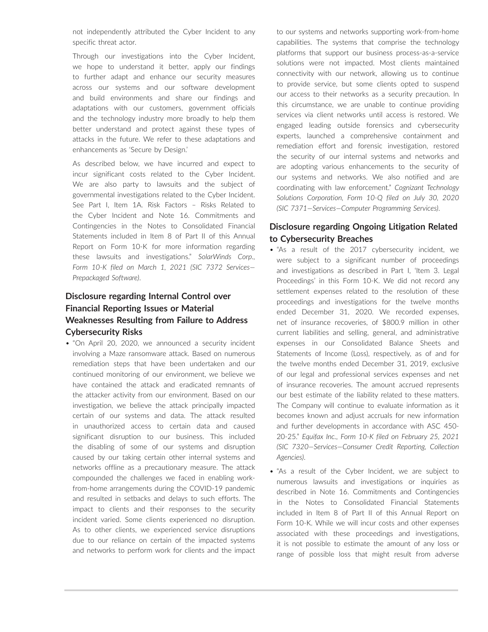not independently attributed the Cyber Incident to any specific threat actor.

Through our investigations into the Cyber Incident, we hope to understand it better, apply our findings to further adapt and enhance our security measures across our systems and our software development and build environments and share our findings and adaptations with our customers, government officials and the technology industry more broadly to help them better understand and protect against these types of attacks in the future. We refer to these adaptations and enhancements as 'Secure by Design.'

As described below, we have incurred and expect to incur significant costs related to the Cyber Incident. We are also party to lawsuits and the subject of governmental investigations related to the Cyber Incident. See Part I, Item 1A. Risk Factors – Risks Related to the Cyber Incident and Note 16. Commitments and Contingencies in the Notes to Consolidated Financial Statements included in Item 8 of Part II of this Annual Report on Form 10-K for more information regarding these lawsuits and investigations." *SolarWinds Corp., Form 10-K filed on March 1, 2021 (SIC 7372 Services— Prepackaged Software)*.

# **Disclosure regarding Internal Control over Financial Reporting Issues or Material Weaknesses Resulting from Failure to Address Cybersecurity Risks**

• "On April 20, 2020, we announced a security incident involving a Maze ransomware attack. Based on numerous remediation steps that have been undertaken and our continued monitoring of our environment, we believe we have contained the attack and eradicated remnants of the attacker activity from our environment. Based on our investigation, we believe the attack principally impacted certain of our systems and data. The attack resulted in unauthorized access to certain data and caused significant disruption to our business. This included the disabling of some of our systems and disruption caused by our taking certain other internal systems and networks offline as a precautionary measure. The attack compounded the challenges we faced in enabling workfrom-home arrangements during the COVID-19 pandemic and resulted in setbacks and delays to such efforts. The impact to clients and their responses to the security incident varied. Some clients experienced no disruption. As to other clients, we experienced service disruptions due to our reliance on certain of the impacted systems and networks to perform work for clients and the impact

to our systems and networks supporting work-from-home capabilities. The systems that comprise the technology platforms that support our business process-as-a-service solutions were not impacted. Most clients maintained connectivity with our network, allowing us to continue to provide service, but some clients opted to suspend our access to their networks as a security precaution. In this circumstance, we are unable to continue providing services via client networks until access is restored. We engaged leading outside forensics and cybersecurity experts, launched a comprehensive containment and remediation effort and forensic investigation, restored the security of our internal systems and networks and are adopting various enhancements to the security of our systems and networks. We also notified and are coordinating with law enforcement." *Cognizant Technology Solutions Corporation, Form 10-Q filed on July 30, 2020 (SIC 7371—Services—Computer Programming Services)*.

# **Disclosure regarding Ongoing Litigation Related to Cybersecurity Breaches**

- "As a result of the 2017 cybersecurity incident, we were subject to a significant number of proceedings and investigations as described in Part I, 'Item 3. Legal Proceedings' in this Form 10-K. We did not record any settlement expenses related to the resolution of these proceedings and investigations for the twelve months ended December 31, 2020. We recorded expenses, net of insurance recoveries, of \$800.9 million in other current liabilities and selling, general, and administrative expenses in our Consolidated Balance Sheets and Statements of Income (Loss), respectively, as of and for the twelve months ended December 31, 2019, exclusive of our legal and professional services expenses and net of insurance recoveries. The amount accrued represents our best estimate of the liability related to these matters. The Company will continue to evaluate information as it becomes known and adjust accruals for new information and further developments in accordance with ASC 450- 20-25." *Equifax Inc., Form 10-K filed on February 25, 2021 (SIC 7320—Services—Consumer Credit Reporting, Collection Agencies)*.
- "As a result of the Cyber Incident, we are subject to numerous lawsuits and investigations or inquiries as described in Note 16. Commitments and Contingencies in the Notes to Consolidated Financial Statements included in Item 8 of Part II of this Annual Report on Form 10-K. While we will incur costs and other expenses associated with these proceedings and investigations, it is not possible to estimate the amount of any loss or range of possible loss that might result from adverse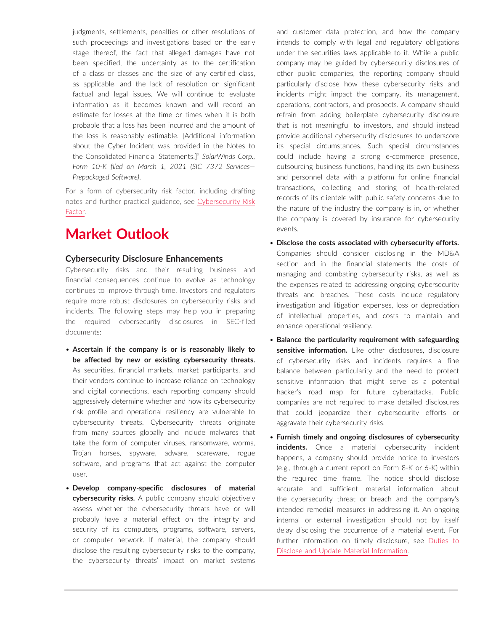judgments, settlements, penalties or other resolutions of such proceedings and investigations based on the early stage thereof, the fact that alleged damages have not been specified, the uncertainty as to the certification of a class or classes and the size of any certified class, as applicable, and the lack of resolution on significant factual and legal issues. We will continue to evaluate information as it becomes known and will record an estimate for losses at the time or times when it is both probable that a loss has been incurred and the amount of the loss is reasonably estimable. [Additional information about the Cyber Incident was provided in the Notes to the Consolidated Financial Statements.]" *SolarWinds Corp., Form 10-K filed on March 1, 2021 (SIC 7372 Services— Prepackaged Software)*.

For a form of cybersecurity risk factor, including drafting notes and further practical guidance, see [Cybersecurity Risk](https://advance.lexis.com/open/document/lpadocument/?pdmfid=1000522&pddocfullpath=%2Fshared%2Fdocument%2Fforms%2Furn%3AcontentItem%3A5K2N-YCD1-JFKM-64MP-00000-00&pdcontentcomponentid=500752&pdteaserkey=sr0&pditab=allpods&ecomp=ptrg&earg=sr0) [Factor](https://advance.lexis.com/open/document/lpadocument/?pdmfid=1000522&pddocfullpath=%2Fshared%2Fdocument%2Fforms%2Furn%3AcontentItem%3A5K2N-YCD1-JFKM-64MP-00000-00&pdcontentcomponentid=500752&pdteaserkey=sr0&pditab=allpods&ecomp=ptrg&earg=sr0).

# **Market Outlook**

#### **Cybersecurity Disclosure Enhancements**

Cybersecurity risks and their resulting business and financial consequences continue to evolve as technology continues to improve through time. Investors and regulators require more robust disclosures on cybersecurity risks and incidents. The following steps may help you in preparing the required cybersecurity disclosures in SEC-filed documents:

- **Ascertain if the company is or is reasonably likely to be affected by new or existing cybersecurity threats.** As securities, financial markets, market participants, and their vendors continue to increase reliance on technology and digital connections, each reporting company should aggressively determine whether and how its cybersecurity risk profile and operational resiliency are vulnerable to cybersecurity threats. Cybersecurity threats originate from many sources globally and include malwares that take the form of computer viruses, ransomware, worms, Trojan horses, spyware, adware, scareware, rogue software, and programs that act against the computer user.
- **Develop company-specific disclosures of material cybersecurity risks.** A public company should objectively assess whether the cybersecurity threats have or will probably have a material effect on the integrity and security of its computers, programs, software, servers, or computer network. If material, the company should disclose the resulting cybersecurity risks to the company, the cybersecurity threats' impact on market systems

and customer data protection, and how the company intends to comply with legal and regulatory obligations under the securities laws applicable to it. While a public company may be guided by cybersecurity disclosures of other public companies, the reporting company should particularly disclose how these cybersecurity risks and incidents might impact the company, its management, operations, contractors, and prospects. A company should refrain from adding boilerplate cybersecurity disclosure that is not meaningful to investors, and should instead provide additional cybersecurity disclosures to underscore its special circumstances. Such special circumstances could include having a strong e-commerce presence, outsourcing business functions, handling its own business and personnel data with a platform for online financial transactions, collecting and storing of health-related records of its clientele with public safety concerns due to the nature of the industry the company is in, or whether the company is covered by insurance for cybersecurity events.

- **Disclose the costs associated with cybersecurity efforts.**  Companies should consider disclosing in the MD&A section and in the financial statements the costs of managing and combating cybersecurity risks, as well as the expenses related to addressing ongoing cybersecurity threats and breaches. These costs include regulatory investigation and litigation expenses, loss or depreciation of intellectual properties, and costs to maintain and enhance operational resiliency.
- **Balance the particularity requirement with safeguarding sensitive information.** Like other disclosures, disclosure of cybersecurity risks and incidents requires a fine balance between particularity and the need to protect sensitive information that might serve as a potential hacker's road map for future cyberattacks. Public companies are not required to make detailed disclosures that could jeopardize their cybersecurity efforts or aggravate their cybersecurity risks.
- **Furnish timely and ongoing disclosures of cybersecurity incidents.** Once a material cybersecurity incident happens, a company should provide notice to investors (e.g., through a current report on Form 8-K or 6-K) within the required time frame. The notice should disclose accurate and sufficient material information about the cybersecurity threat or breach and the company's intended remedial measures in addressing it. An ongoing internal or external investigation should not by itself delay disclosing the occurrence of a material event. For further information on timely disclosure, see [Duties to](https://advance.lexis.com/open/document/lpadocument/?pdmfid=1000522&pddocfullpath=%2Fshared%2Fdocument%2Fanalytical-materials%2Furn%3AcontentItem%3A5JFD-50G1-F1H1-24JJ-00000-00&pdcontentcomponentid=500749&pdteaserkey=sr0&pditab=allpods&ecomp=ptrg&earg=sr0) [Disclose and Update Material Information](https://advance.lexis.com/open/document/lpadocument/?pdmfid=1000522&pddocfullpath=%2Fshared%2Fdocument%2Fanalytical-materials%2Furn%3AcontentItem%3A5JFD-50G1-F1H1-24JJ-00000-00&pdcontentcomponentid=500749&pdteaserkey=sr0&pditab=allpods&ecomp=ptrg&earg=sr0).